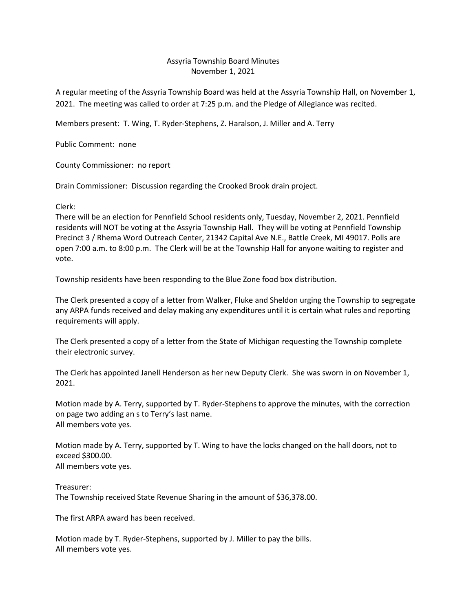## Assyria Township Board Minutes November 1, 2021

A regular meeting of the Assyria Township Board was held at the Assyria Township Hall, on November 1, 2021. The meeting was called to order at 7:25 p.m. and the Pledge of Allegiance was recited.

Members present: T. Wing, T. Ryder-Stephens, Z. Haralson, J. Miller and A. Terry

Public Comment: none

County Commissioner: no report

Drain Commissioner: Discussion regarding the Crooked Brook drain project.

Clerk:

There will be an election for Pennfield School residents only, Tuesday, November 2, 2021. Pennfield residents will NOT be voting at the Assyria Township Hall. They will be voting at Pennfield Township Precinct 3 / Rhema Word Outreach Center, 21342 Capital Ave N.E., Battle Creek, MI 49017. Polls are open 7:00 a.m. to 8:00 p.m. The Clerk will be at the Township Hall for anyone waiting to register and vote.

Township residents have been responding to the Blue Zone food box distribution.

The Clerk presented a copy of a letter from Walker, Fluke and Sheldon urging the Township to segregate any ARPA funds received and delay making any expenditures until it is certain what rules and reporting requirements will apply.

The Clerk presented a copy of a letter from the State of Michigan requesting the Township complete their electronic survey.

The Clerk has appointed Janell Henderson as her new Deputy Clerk. She was sworn in on November 1, 2021.

Motion made by A. Terry, supported by T. Ryder-Stephens to approve the minutes, with the correction on page two adding an s to Terry's last name. All members vote yes.

Motion made by A. Terry, supported by T. Wing to have the locks changed on the hall doors, not to exceed \$300.00. All members vote yes.

Treasurer: The Township received State Revenue Sharing in the amount of \$36,378.00.

The first ARPA award has been received.

Motion made by T. Ryder-Stephens, supported by J. Miller to pay the bills. All members vote yes.